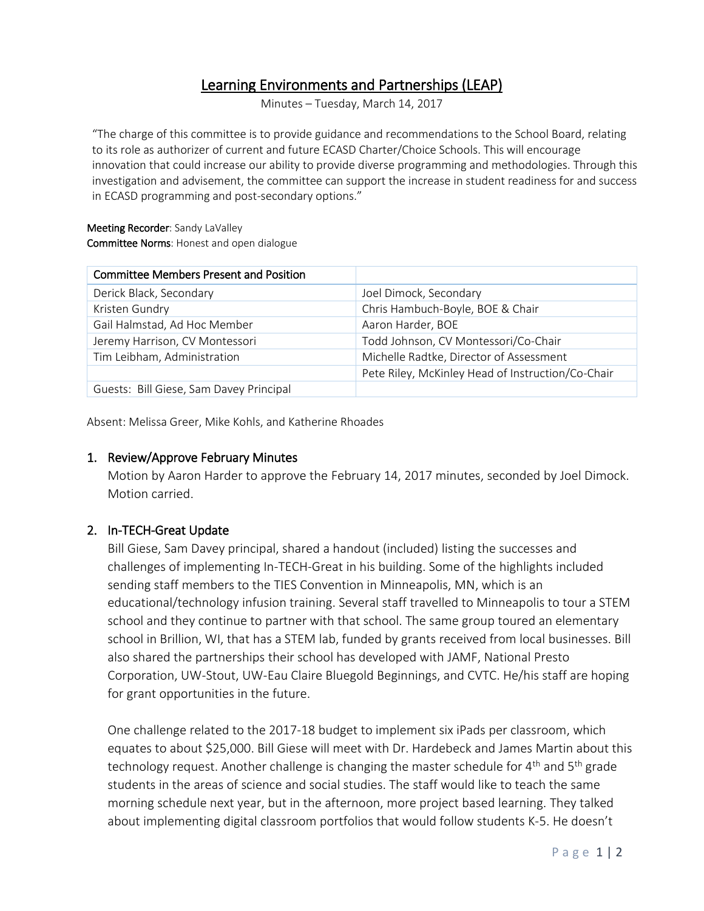# Learning Environments and Partnerships (LEAP)

Minutes – Tuesday, March 14, 2017

"The charge of this committee is to provide guidance and recommendations to the School Board, relating to its role as authorizer of current and future ECASD Charter/Choice Schools. This will encourage innovation that could increase our ability to provide diverse programming and methodologies. Through this investigation and advisement, the committee can support the increase in student readiness for and success in ECASD programming and post-secondary options."

#### Meeting Recorder: Sandy LaValley Committee Norms: Honest and open dialogue

| <b>Committee Members Present and Position</b> |                                                   |
|-----------------------------------------------|---------------------------------------------------|
| Derick Black, Secondary                       | Joel Dimock, Secondary                            |
| Kristen Gundry                                | Chris Hambuch-Boyle, BOE & Chair                  |
| Gail Halmstad, Ad Hoc Member                  | Aaron Harder, BOE                                 |
| Jeremy Harrison, CV Montessori                | Todd Johnson, CV Montessori/Co-Chair              |
| Tim Leibham, Administration                   | Michelle Radtke, Director of Assessment           |
|                                               | Pete Riley, McKinley Head of Instruction/Co-Chair |
| Guests: Bill Giese, Sam Davey Principal       |                                                   |

Absent: Melissa Greer, Mike Kohls, and Katherine Rhoades

#### 1. Review/Approve February Minutes

Motion by Aaron Harder to approve the February 14, 2017 minutes, seconded by Joel Dimock. Motion carried.

## 2. In-TECH-Great Update

Bill Giese, Sam Davey principal, shared a handout (included) listing the successes and challenges of implementing In-TECH-Great in his building. Some of the highlights included sending staff members to the TIES Convention in Minneapolis, MN, which is an educational/technology infusion training. Several staff travelled to Minneapolis to tour a STEM school and they continue to partner with that school. The same group toured an elementary school in Brillion, WI, that has a STEM lab, funded by grants received from local businesses. Bill also shared the partnerships their school has developed with JAMF, National Presto Corporation, UW-Stout, UW-Eau Claire Bluegold Beginnings, and CVTC. He/his staff are hoping for grant opportunities in the future.

One challenge related to the 2017-18 budget to implement six iPads per classroom, which equates to about \$25,000. Bill Giese will meet with Dr. Hardebeck and James Martin about this technology request. Another challenge is changing the master schedule for  $4<sup>th</sup>$  and  $5<sup>th</sup>$  grade students in the areas of science and social studies. The staff would like to teach the same morning schedule next year, but in the afternoon, more project based learning. They talked about implementing digital classroom portfolios that would follow students K-5. He doesn't